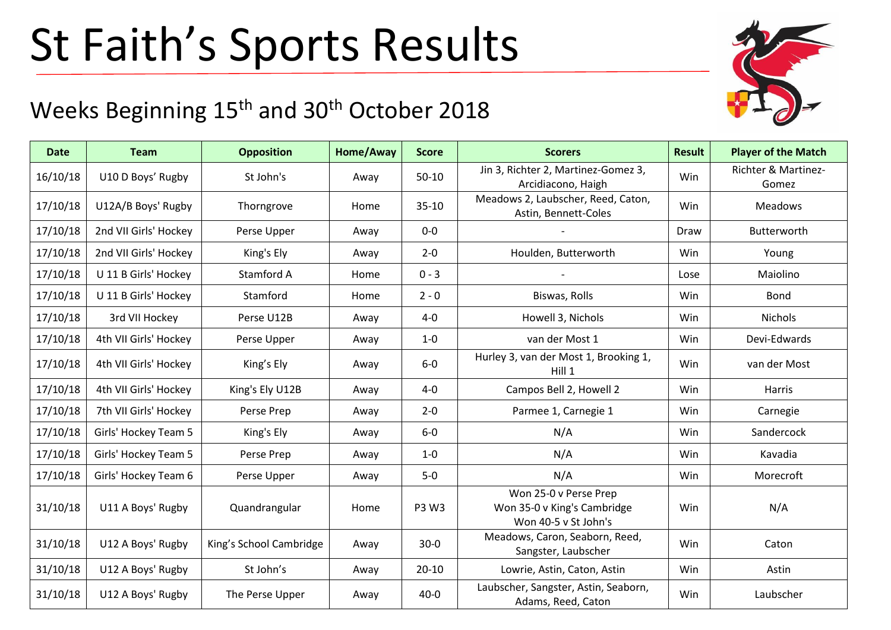## St Faith's Sports Results

## Weeks Beginning 15<sup>th</sup> and 30<sup>th</sup> October 2018

| <b>Date</b> | <b>Team</b>           | <b>Opposition</b>       | Home/Away | <b>Score</b> | <b>Scorers</b>                                                               | <b>Result</b> | <b>Player of the Match</b>   |
|-------------|-----------------------|-------------------------|-----------|--------------|------------------------------------------------------------------------------|---------------|------------------------------|
| 16/10/18    | U10 D Boys' Rugby     | St John's               | Away      | $50-10$      | Jin 3, Richter 2, Martinez-Gomez 3,<br>Arcidiacono, Haigh                    | Win           | Richter & Martinez-<br>Gomez |
| 17/10/18    | U12A/B Boys' Rugby    | Thorngrove              | Home      | $35 - 10$    | Meadows 2, Laubscher, Reed, Caton,<br>Astin, Bennett-Coles                   | Win           | <b>Meadows</b>               |
| 17/10/18    | 2nd VII Girls' Hockey | Perse Upper             | Away      | $0-0$        |                                                                              | Draw          | Butterworth                  |
| 17/10/18    | 2nd VII Girls' Hockey | King's Ely              | Away      | $2 - 0$      | Houlden, Butterworth                                                         | Win           | Young                        |
| 17/10/18    | U 11 B Girls' Hockey  | Stamford A              | Home      | $0 - 3$      |                                                                              | Lose          | Maiolino                     |
| 17/10/18    | U 11 B Girls' Hockey  | Stamford                | Home      | $2 - 0$      | Biswas, Rolls                                                                | Win           | <b>Bond</b>                  |
| 17/10/18    | 3rd VII Hockey        | Perse U12B              | Away      | $4 - 0$      | Howell 3, Nichols                                                            | Win           | <b>Nichols</b>               |
| 17/10/18    | 4th VII Girls' Hockey | Perse Upper             | Away      | $1-0$        | van der Most 1                                                               | Win           | Devi-Edwards                 |
| 17/10/18    | 4th VII Girls' Hockey | King's Ely              | Away      | $6-0$        | Hurley 3, van der Most 1, Brooking 1,<br>Hill 1                              | Win           | van der Most                 |
| 17/10/18    | 4th VII Girls' Hockey | King's Ely U12B         | Away      | $4-0$        | Campos Bell 2, Howell 2                                                      | Win           | Harris                       |
| 17/10/18    | 7th VII Girls' Hockey | Perse Prep              | Away      | $2 - 0$      | Parmee 1, Carnegie 1                                                         | Win           | Carnegie                     |
| 17/10/18    | Girls' Hockey Team 5  | King's Ely              | Away      | $6-0$        | N/A                                                                          | Win           | Sandercock                   |
| 17/10/18    | Girls' Hockey Team 5  | Perse Prep              | Away      | $1-0$        | N/A                                                                          | Win           | Kavadia                      |
| 17/10/18    | Girls' Hockey Team 6  | Perse Upper             | Away      | $5-0$        | N/A                                                                          | Win           | Morecroft                    |
| 31/10/18    | U11 A Boys' Rugby     | Quandrangular           | Home      | P3 W3        | Won 25-0 v Perse Prep<br>Won 35-0 v King's Cambridge<br>Won 40-5 v St John's | Win           | N/A                          |
| 31/10/18    | U12 A Boys' Rugby     | King's School Cambridge | Away      | $30-0$       | Meadows, Caron, Seaborn, Reed,<br>Sangster, Laubscher                        | Win           | Caton                        |
| 31/10/18    | U12 A Boys' Rugby     | St John's               | Away      | $20 - 10$    | Lowrie, Astin, Caton, Astin                                                  | Win           | Astin                        |
| 31/10/18    | U12 A Boys' Rugby     | The Perse Upper         | Away      | $40 - 0$     | Laubscher, Sangster, Astin, Seaborn,<br>Adams, Reed, Caton                   | Win           | Laubscher                    |